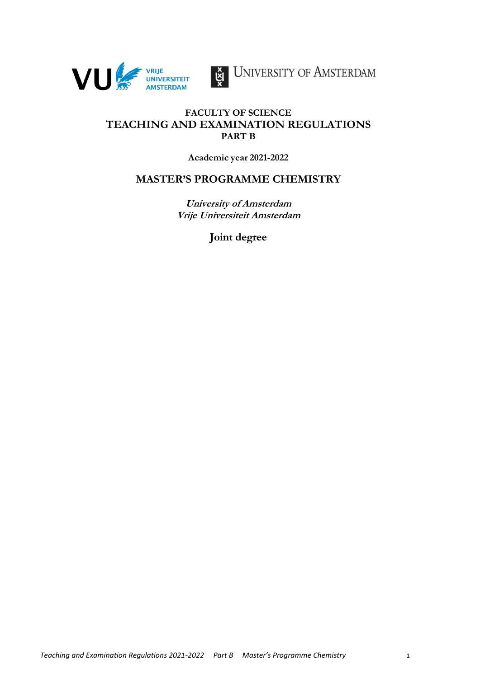



UNIVERSITY OF AMSTERDAM

# **FACULTY OF SCIENCE TEACHING AND EXAMINATION REGULATIONS PART B**

**Academic year 2021-2022**

# **MASTER'S PROGRAMME CHEMISTRY**

**University of Amsterdam Vrije Universiteit Amsterdam**

**Joint degree**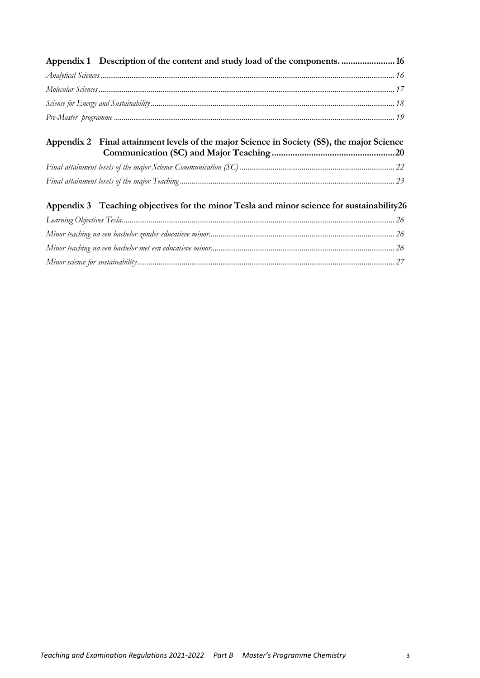| Appendix 1 Description of the content and study load of the components.  16                |  |
|--------------------------------------------------------------------------------------------|--|
|                                                                                            |  |
|                                                                                            |  |
|                                                                                            |  |
|                                                                                            |  |
| Appendix 2 Final attainment levels of the major Science in Society (SS), the major Science |  |
|                                                                                            |  |
|                                                                                            |  |
| Appendix 3 Teaching objectives for the minor Tesla and minor science for sustainability 26 |  |
|                                                                                            |  |
|                                                                                            |  |

*[Minor teaching na een bachelor met een educatieve minor...............................................................................................](#page-25-3) 26 [Minor science for sustainability.....................................................................................................................................](#page-26-0) 27*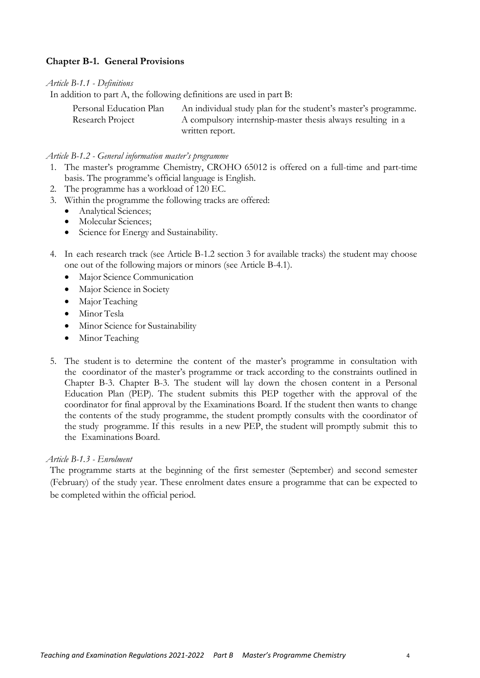# <span id="page-3-0"></span>**Chapter B-1. General Provisions**

#### *Article B-1.1 - Definitions*

In addition to part A, the following definitions are used in part B:

<span id="page-3-1"></span>

| Personal Education Plan | An individual study plan for the student's master's programme. |
|-------------------------|----------------------------------------------------------------|
| Research Project        | A compulsory internship-master thesis always resulting in a    |
|                         | written report.                                                |

#### *Article B-1.2 - General information master's programme*

- <span id="page-3-2"></span>1. The master's programme Chemistry, CROHO 65012 is offered on a full-time and part-time basis. The programme's official language is English.
- 2. The programme has a workload of 120 EC.
- <span id="page-3-4"></span>3. Within the programme the following tracks are offered:
	- Analytical Sciences;
	- Molecular Sciences;
	- Science for Energy and Sustainability.
- 4. In each research track (see [Article B-1.2](#page-3-2) section [3](#page-3-4) for available tracks) the student may choose one out of the following majors or minors (see [Article B-4.1\)](#page-8-1).
	- Major Science Communication
	- Major Science in Society
	- Major Teaching
	- Minor Tesla
	- Minor Science for Sustainability
	- Minor Teaching
- 5. The student is to determine the content of the master's programme in consultation with the coordinator of the master's programme or track according to the constraints outlined in [Chapter B-3. Chapter B-3. T](#page-6-0)he student will lay down the chosen content in a Personal Education Plan (PEP). The student submits this PEP together with the approval of the coordinator for final approval by the Examinations Board. If the student then wants to change the contents of the study programme, the student promptly consults with the coordinator of the study programme. If this results in a new PEP, the student will promptly submit this to the Examinations Board.

#### *Article B-1.3 - Enrolment*

<span id="page-3-3"></span>The programme starts at the beginning of the first semester (September) and second semester (February) of the study year. These enrolment dates ensure a programme that can be expected to be completed within the official period.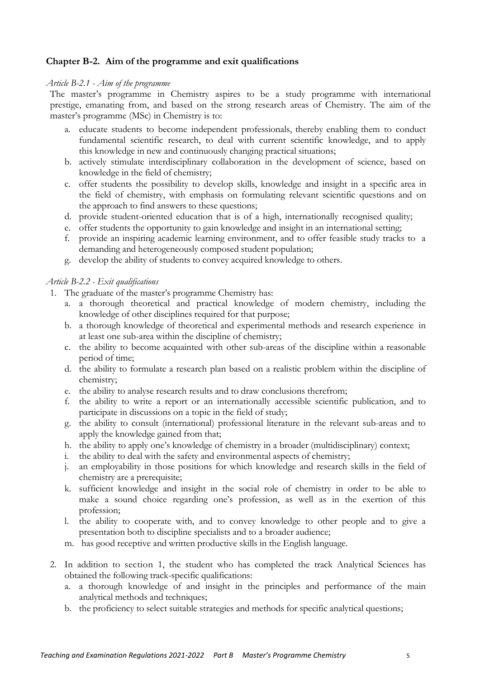# <span id="page-4-0"></span>**Chapter B-2. Aim of the programme and exit qualifications**

### *Article B-2.1 - Aim of the programme*

<span id="page-4-1"></span>The master's programme in Chemistry aspires to be a study programme with international prestige, emanating from, and based on the strong research areas of Chemistry. The aim of the master's programme (MSc) in Chemistry is to:

- a. educate students to become independent professionals, thereby enabling them to conduct fundamental scientific research, to deal with current scientific knowledge, and to apply this knowledge in new and continuously changing practical situations;
- b. actively stimulate interdisciplinary collaboration in the development of science, based on knowledge in the field of chemistry;
- c. offer students the possibility to develop skills, knowledge and insight in a specific area in the field of chemistry, with emphasis on formulating relevant scientific questions and on the approach to find answers to these questions;
- d. provide student-oriented education that is of a high, internationally recognised quality;
- e. offer students the opportunity to gain knowledge and insight in an international setting;
- f. provide an inspiring academic learning environment, and to offer feasible study tracks to a demanding and heterogeneously composed student population;
- <span id="page-4-2"></span>g. develop the ability of students to convey acquired knowledge to others.

# *Article B-2.2 - Exit qualifications*

- <span id="page-4-3"></span>1. The graduate of the master's programme Chemistry has:
	- a. a thorough theoretical and practical knowledge of modern chemistry, including the knowledge of other disciplines required for that purpose;
	- b. a thorough knowledge of theoretical and experimental methods and research experience in at least one sub-area within the discipline of chemistry;
	- c. the ability to become acquainted with other sub-areas of the discipline within a reasonable period of time;
	- d. the ability to formulate a research plan based on a realistic problem within the discipline of chemistry;
	- e. the ability to analyse research results and to draw conclusions therefrom;
	- f. the ability to write a report or an internationally accessible scientific publication, and to participate in discussions on a topic in the field of study;
	- g. the ability to consult (international) professional literature in the relevant sub-areas and to apply the knowledge gained from that;
	- h. the ability to apply one's knowledge of chemistry in a broader (multidisciplinary) context;
	- i. the ability to deal with the safety and environmental aspects of chemistry;
	- j. an employability in those positions for which knowledge and research skills in the field of chemistry are a prerequisite;
	- k. sufficient knowledge and insight in the social role of chemistry in order to be able to make a sound choice regarding one's profession, as well as in the exertion of this profession;
	- l. the ability to cooperate with, and to convey knowledge to other people and to give a presentation both to discipline specialists and to a broader audience;
	- m. has good receptive and written productive skills in the English language.
- 2. In addition to section [1,](#page-4-3) the student who has completed the track Analytical Sciences has obtained the following track-specific qualifications:
	- a. a thorough knowledge of and insight in the principles and performance of the main analytical methods and techniques;
	- b. the proficiency to select suitable strategies and methods for specific analytical questions;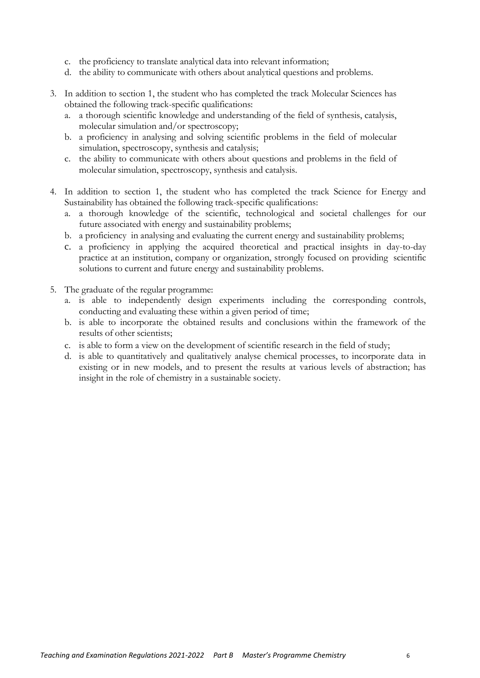- c. the proficiency to translate analytical data into relevant information;
- d. the ability to communicate with others about analytical questions and problems.
- 3. In addition to section [1,](#page-4-3) the student who has completed the track Molecular Sciences has obtained the following track-specific qualifications:
	- a. a thorough scientific knowledge and understanding of the field of synthesis, catalysis, molecular simulation and/or spectroscopy;
	- b. a proficiency in analysing and solving scientific problems in the field of molecular simulation, spectroscopy, synthesis and catalysis;
	- c. the ability to communicate with others about questions and problems in the field of molecular simulation, spectroscopy, synthesis and catalysis.
- 4. In addition to section 1, the student who has completed the track Science for Energy and Sustainability has obtained the following track-specific qualifications:
	- a. a thorough knowledge of the scientific, technological and societal challenges for our future associated with energy and sustainability problems;
	- b. a proficiency in analysing and evaluating the current energy and sustainability problems;
	- c. a proficiency in applying the acquired theoretical and practical insights in day-to-day practice at an institution, company or organization, strongly focused on providing scientific solutions to current and future energy and sustainability problems.
- 5. The graduate of the regular programme:
	- a. is able to independently design experiments including the corresponding controls, conducting and evaluating these within a given period of time;
	- b. is able to incorporate the obtained results and conclusions within the framework of the results of other scientists;
	- c. is able to form a view on the development of scientific research in the field of study;
	- d. is able to quantitatively and qualitatively analyse chemical processes, to incorporate data in existing or in new models, and to present the results at various levels of abstraction; has insight in the role of chemistry in a sustainable society.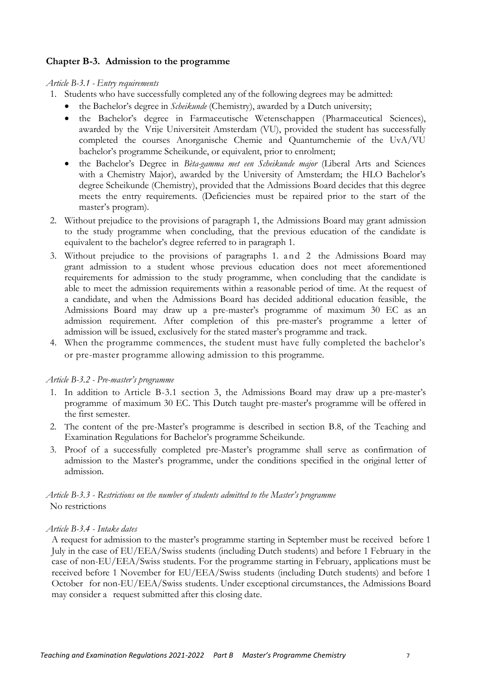# <span id="page-6-0"></span>**Chapter B-3. Admission to the programme**

*Article B-3.1 - Entry requirements* 

- <span id="page-6-5"></span><span id="page-6-1"></span>1. Students who have successfully completed any of the following degrees may be admitted:
	- the Bachelor's degree in *Scheikunde* (Chemistry), awarded by a Dutch university;
	- the Bachelor's degree in Farmaceutische Wetenschappen (Pharmaceutical Sciences), awarded by the Vrije Universiteit Amsterdam (VU), provided the student has successfully completed the courses Anorganische Chemie and Quantumchemie of the UvA/VU bachelor's programme Scheikunde, or equivalent, prior to enrolment;
	- the Bachelor's Degree in *Bèta-gamma met een Scheikunde major* (Liberal Arts and Sciences with a Chemistry Major), awarded by the University of Amsterdam; the HLO Bachelor's degree Scheikunde (Chemistry), provided that the Admissions Board decides that this degree meets the entry requirements. (Deficiencies must be repaired prior to the start of the master's program).
- <span id="page-6-6"></span>2. Without prejudice to the provisions of paragraph [1,](#page-6-5) the Admissions Board may grant admission to the study programme when concluding, that the previous education of the candidate is equivalent to the bachelor's degree referred to in paragraph 1.
- <span id="page-6-7"></span>3. Without prejudice to the provisions of paragraphs 1. and [2](#page-6-6) the Admissions Board may grant admission to a student whose previous education does not meet aforementioned requirements for admission to the study programme, when concluding that the candidate is able to meet the admission requirements within a reasonable period of time. At the request of a candidate, and when the Admissions Board has decided additional education feasible, the Admissions Board may draw up a pre-master's programme of maximum 30 EC as an admission requirement. After completion of this pre-master's programme a letter of admission will be issued, exclusively for the stated master's programme and track.
- 4. When the programme commences, the student must have fully completed the bachelor's or pre-master programme allowing admission to this programme.

# *Article B-3.2 - Pre-master's programme*

- <span id="page-6-2"></span>1. In addition to [Article B-3.1](#page-6-1) section [3,](#page-6-7) the Admissions Board may draw up a pre-master's programme of maximum 30 EC. This Dutch taught pre-master's programme will be offered in the first semester.
- 2. The content of the pre-Master's programme is described in section B.8, of the Teaching and Examination Regulations for Bachelor's programme Scheikunde.
- 3. Proof of a successfully completed pre-Master's programme shall serve as confirmation of admission to the Master's programme, under the conditions specified in the original letter of admission.

<span id="page-6-3"></span>*Article B-3.3 - Restrictions on the number of students admitted to the Master's programme* No restrictions

# *Article B-3.4 - Intake dates*

<span id="page-6-4"></span>A request for admission to the master's programme starting in September must be received before 1 July in the case of EU/EEA/Swiss students (including Dutch students) and before 1 February in the case of non-EU/EEA/Swiss students. For the programme starting in February, applications must be received before 1 November for EU/EEA/Swiss students (including Dutch students) and before 1 October for non-EU/EEA/Swiss students. Under exceptional circumstances, the Admissions Board may consider a request submitted after this closing date.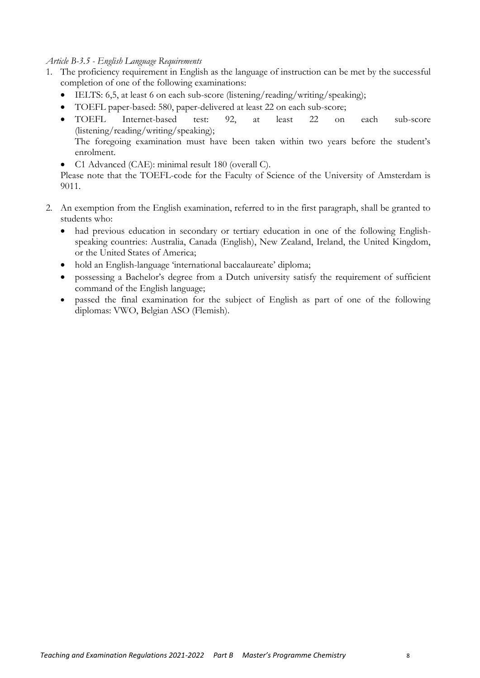### <span id="page-7-0"></span>*Article B-3.5 - English Language Requirements*

- 1. The proficiency requirement in English as the language of instruction can be met by the successful completion of one of the following examinations:
	- IELTS: 6,5, at least 6 on each sub-score (listening/reading/writing/speaking);
	- TOEFL paper-based: 580, paper-delivered at least 22 on each sub-score;
	- TOEFL Internet-based test: 92, at least 22 on each sub-score (listening/reading/writing/speaking); The foregoing examination must have been taken within two years before the student's enrolment.
	- C1 Advanced (CAE): minimal result 180 (overall C).

Please note that the TOEFL-code for the Faculty of Science of the University of Amsterdam is 9011.

- 2. An exemption from the English examination, referred to in the first paragraph, shall be granted to students who:
	- had previous education in secondary or tertiary education in one of the following Englishspeaking countries: Australia, Canada (English), New Zealand, Ireland, the United Kingdom, or the United States of America;
	- hold an English-language 'international baccalaureate' diploma;
	- possessing a Bachelor's degree from a Dutch university satisfy the requirement of sufficient command of the English language;
	- passed the final examination for the subject of English as part of one of the following diplomas: VWO, Belgian ASO (Flemish).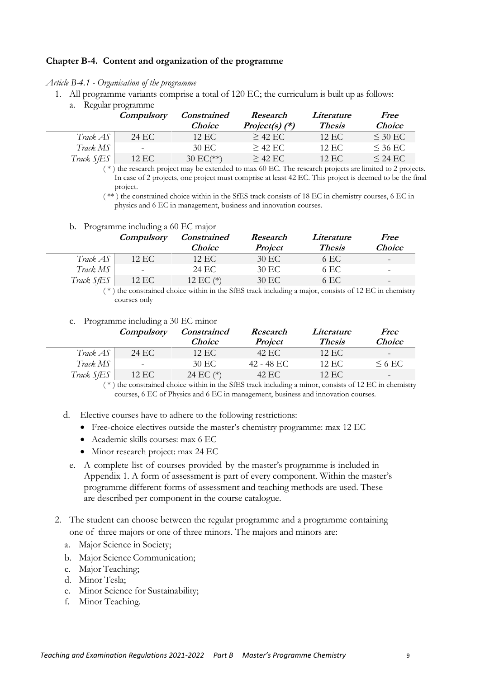# <span id="page-8-0"></span>**Chapter B-4. Content and organization of the programme**

*Article B-4.1 - Organisation of the programme*

- <span id="page-8-3"></span><span id="page-8-1"></span>1. All programme variants comprise a total of 120 EC; the curriculum is built up as follows:
	- a. Regular programme

|                         | Compulsory               | <b>Constrained</b> | Research         | Literature    | Free          |
|-------------------------|--------------------------|--------------------|------------------|---------------|---------------|
|                         |                          | <i>Choice</i>      | Project(s) $(*)$ | <b>Thesis</b> | <i>Choice</i> |
| Track AS                | 24 EC                    | 12 EC              | $>$ 42 F.C.      | $12$ EC       | $\leq$ 30 EC. |
| $\text{Track } MS \mid$ | $\overline{\phantom{a}}$ | 30 EC              | $>$ 42 EC        | 12 EC         | $\leq$ 36 EC  |
| Track SfES              | 12 EC                    | $30 E C$ (**)      | $>$ 42 EC        | 12 EC         | $\leq$ 24 EC  |

( \* ) the research project may be extended to max 60 EC. The research projects are limited to 2 projects. In case of 2 projects, one project must comprise at least 42 EC. This project is deemed to be the final project.

( \*\* ) the constrained choice within in the SfES track consists of 18 EC in chemistry courses, 6 EC in physics and 6 EC in management, business and innovation courses.

#### b. Programme including a 60 EC major

<span id="page-8-2"></span>

|            | <i>Compulsory</i> | <b>Constrained</b> | Research       | Literature    | Free          |
|------------|-------------------|--------------------|----------------|---------------|---------------|
|            |                   | <i>Choice</i>      | <b>Project</b> | <b>Thesis</b> | <i>Choice</i> |
| Track AS   | 12 EC             | 12 EC              | 30 EC          | 6 EC          | -             |
| Track MS   |                   | 24 EC              | 30 EC          | 6 EC          | -             |
| Track SfES | 12 EC             | 12 EC $(*)$        | 30 EC          | 6 EC          | -             |

( \* ) the constrained choice within in the SfES track including a major, consists of 12 EC in chemistry courses only

#### c. Programme including a 30 EC minor

<span id="page-8-4"></span>

|                       | <i>Compulsory</i>        | <i>Constrained</i> | Research       | Literature    | <i>Free</i>              |
|-----------------------|--------------------------|--------------------|----------------|---------------|--------------------------|
|                       |                          | <i>Choice</i>      | <b>Project</b> | <b>Thesis</b> | <i>Choice</i>            |
| Track AS <sub>1</sub> | 24 EC                    | 12 EC              | 42 EC          | 12 EC         | $\overline{\phantom{a}}$ |
| Track MS              | $\overline{\phantom{a}}$ | 30 EC              | 42 - 48 EC     | 12 EC         | $\leq 6$ EC.             |
| Track SfES            | 12 EC                    | 24 EC $(*)$        | 42 EC          | 12 EC         | $\overline{\phantom{a}}$ |

( \* ) the constrained choice within in the SfES track including a minor, consists of 12 EC in chemistry courses, 6 EC of Physics and 6 EC in management, business and innovation courses.

- d. Elective courses have to adhere to the following restrictions:
	- Free-choice electives outside the master's chemistry programme: max 12 EC
	- Academic skills courses: max 6 EC
	- Minor research project: max 24 EC
	- e. A complete list of courses provided by the master's programme is included in [Appendix 1](#page-15-2). A form of assessment is part of every component. Within the master's programme different forms of assessment and teaching methods are used. These are described per component in the course catalogue.
- 2. The student can choose between the regular programme and a programme containing one of three majors or one of three minors. The majors and minors are:
	- a. Major Science in Society;
	- b. Major Science Communication;
	- c. Major Teaching;
	- d. Minor Tesla;
	- e. Minor Science for Sustainability;
	- f. Minor Teaching.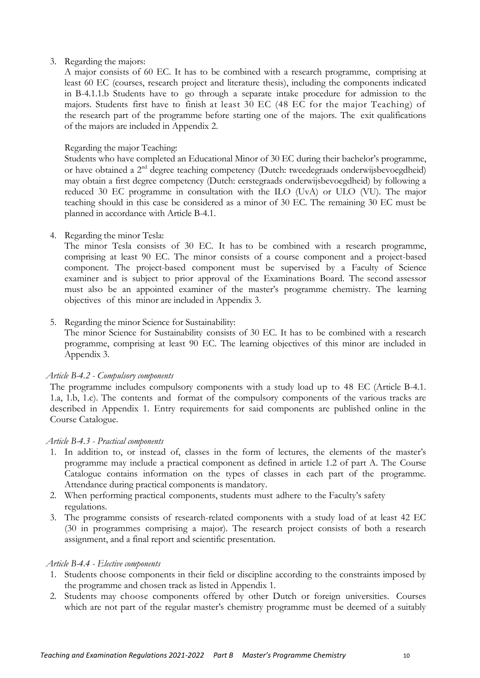### 3. Regarding the majors:

A major consists of 60 EC. It has to be combined with a research programme, comprising at least 60 EC (courses, research project and literature thesis), including the components indicated in B-4.[1.1.b](#page-8-2) Students have to go through a separate intake procedure for admission to the majors. Students first have to finish at least 30 EC (48 EC for the major Teaching) of the research part of the programme before starting one of the majors. The exit qualifications of the majors are included in [Appendix 2.](#page-19-0)

# Regarding the major Teaching:

Students who have completed an Educational Minor of 30 EC during their bachelor's programme, or have obtained a 2nd degree teaching competency (Dutch: tweedegraads onderwijsbevoegdheid) may obtain a first degree competency (Dutch: eerstegraads onderwijsbevoegdheid) by following a reduced 30 EC programme in consultation with the ILO (UvA) or ULO (VU). The major teaching should in this case be considered as a minor of 30 EC. The remaining 30 EC must be planned in accordance with [Article B-4.1.](#page-8-1)

# 4. Regarding the minor Tesla:

The minor Tesla consists of 30 EC. It has to be combined with a research programme, comprising at least 90 EC. The minor consists of a course component and a project-based component. The project-based component must be supervised by a Faculty of Science examiner and is subject to prior approval of the Examinations Board. The second assessor must also be an appointed examiner of the master's programme chemistry. The learning objectives of this minor are included in [Appendix 3.](#page-25-0)

# 5. Regarding the minor Science for Sustainability:

The minor Science for Sustainability consists of 30 EC. It has to be combined with a research programme, comprising at least 90 EC. The learning objectives of this minor are included in [Appendix 3.](#page-25-0)

# *Article B-4.2 - Compulsory components*

<span id="page-9-0"></span>The programme includes compulsory components with a study load up to 48 EC [\(Article B-4.1.](#page-8-1) [1.a,](#page-8-3) [1.b,](#page-8-2) [1.c\)](#page-8-4). The contents and format of the compulsory components of the various tracks are described in [Appendix 1.](#page-15-2) Entry requirements for said components are published online in the Course Catalogue.

# *Article B-4.3 - Practical components*

- <span id="page-9-1"></span>1. In addition to, or instead of, classes in the form of lectures, the elements of the master's programme may include a practical component as defined in article 1.2 of part A. The Course Catalogue contains information on the types of classes in each part of the programme. Attendance during practical components is mandatory.
- 2. When performing practical components, students must adhere to the Faculty's safety regulations.
- 3. The programme consists of research-related components with a study load of at least 42 EC (30 in programmes comprising a major). The research project consists of both a research assignment, and a final report and scientific presentation.

# *Article B-4.4 - Elective components*

- <span id="page-9-2"></span>1. Students choose components in their field or discipline according to the constraints imposed by the programme and chosen track as listed in [Appendix 1.](#page-15-2)
- 2. Students may choose components offered by other Dutch or foreign universities. Courses which are not part of the regular master's chemistry programme must be deemed of a suitably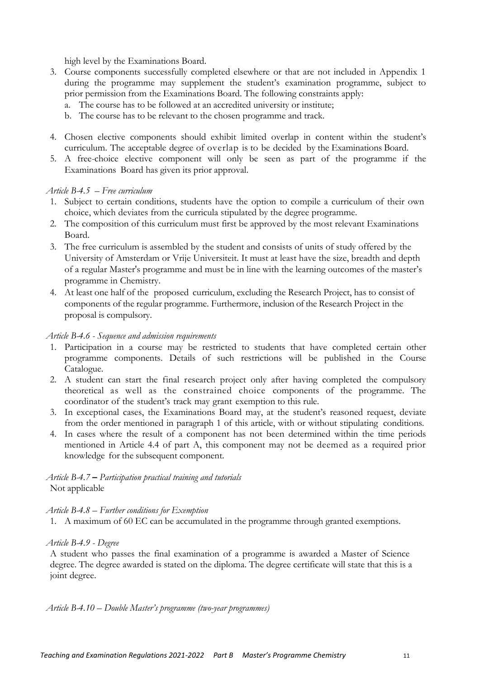high level by the Examinations Board.

- 3. Course components successfully completed elsewhere or that are not included in [Appendix 1](#page-15-2) during the programme may supplement the student's examination programme, subject to prior permission from the Examinations Board. The following constraints apply:
	- a. The course has to be followed at an accredited university or institute;
	- b. The course has to be relevant to the chosen programme and track.
- 4. Chosen elective components should exhibit limited overlap in content within the student's curriculum. The acceptable degree of overlap is to be decided by the Examinations Board.
- 5. A free-choice elective component will only be seen as part of the programme if the Examinations Board has given its prior approval.

### *Article B-4.5 – Free curriculum*

- <span id="page-10-0"></span>1. Subject to certain conditions, students have the option to compile a curriculum of their own choice, which deviates from the curricula stipulated by the degree programme.
- 2. The composition of this curriculum must first be approved by the most relevant Examinations Board.
- 3. The free curriculum is assembled by the student and consists of units of study offered by the University of Amsterdam or Vrije Universiteit. It must at least have the size, breadth and depth of a regular Master's programme and must be in line with the learning outcomes of the master's programme in Chemistry.
- 4. At least one half of the proposed curriculum, excluding the Research Project, has to consist of components of the regular programme. Furthermore, inclusion of the Research Project in the proposal is compulsory.

#### *Article B-4.6 - Sequence and admission requirements*

- <span id="page-10-6"></span><span id="page-10-1"></span>1. Participation in a course may be restricted to students that have completed certain other programme components. Details of such restrictions will be published in the Course Catalogue.
- 2. A student can start the final research project only after having completed the compulsory theoretical as well as the constrained choice components of the programme. The coordinator of the student's track may grant exemption to this rule.
- 3. In exceptional cases, the Examinations Board may, at the student's reasoned request, deviate from the order mentioned in paragraph [1](#page-10-6) of this article, with or without stipulating conditions.
- 4. In cases where the result of a component has not been determined within the time periods mentioned in Article 4.4 of part A, this component may not be deemed as a required prior knowledge for the subsequent component.

<span id="page-10-2"></span>*Article B-4.7* **–** *Participation practical training and tutorials* Not applicable

#### *Article B-4.8 – Further conditions for Exemption*

<span id="page-10-3"></span>1. A maximum of 60 EC can be accumulated in the programme through granted exemptions.

#### *Article B-4.9 - Degree*

<span id="page-10-4"></span>A student who passes the final examination of a programme is awarded a Master of Science degree. The degree awarded is stated on the diploma. The degree certificate will state that this is a joint degree.

<span id="page-10-5"></span>*Article B-4.10 – Double Master's programme (two-year programmes)*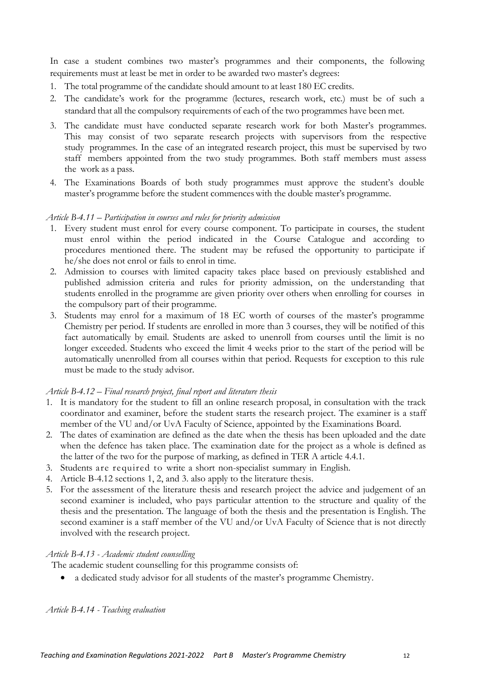In case a student combines two master's programmes and their components, the following requirements must at least be met in order to be awarded two master's degrees:

- 1. The total programme of the candidate should amount to at least 180 EC credits.
- 2. The candidate's work for the programme (lectures, research work, etc.) must be of such a standard that all the compulsory requirements of each of the two programmes have been met.
- 3. The candidate must have conducted separate research work for both Master's programmes. This may consist of two separate research projects with supervisors from the respective study programmes. In the case of an integrated research project, this must be supervised by two staff members appointed from the two study programmes. Both staff members must assess the work as a pass.
- 4. The Examinations Boards of both study programmes must approve the student's double master's programme before the student commenceswith the double master's programme.

# *Article B-4.11 – Participation in courses and rules for priority admission*

- <span id="page-11-0"></span>1. Every student must enrol for every course component. To participate in courses, the student must enrol within the period indicated in the Course Catalogue and according to procedures mentioned there. The student may be refused the opportunity to participate if he/she does not enrol or fails to enrol in time.
- 2. Admission to courses with limited capacity takes place based on previously established and published admission criteria and rules for priority admission, on the understanding that students enrolled in the programme are given priority over others when enrolling for courses in the compulsory part of their programme.
- 3. Students may enrol for a maximum of 18 EC worth of courses of the master's programme Chemistry per period. If students are enrolled in more than 3 courses, they will be notified of this fact automatically by email. Students are asked to unenroll from courses until the limit is no longer exceeded. Students who exceed the limit 4 weeks prior to the start of the period will be automatically unenrolled from all courses within that period. Requests for exception to this rule must be made to the study advisor.

# *Article B-4.12 – Final research project, final report and literature thesis*

- <span id="page-11-4"></span><span id="page-11-1"></span>1. It is mandatory for the student to fill an online research proposal, in consultation with the track coordinator and examiner, before the student starts the research project. The examiner is a staff member of the VU and/or UvA Faculty of Science, appointed by the Examinations Board.
- <span id="page-11-5"></span>2. The dates of examination are defined as the date when the thesis has been uploaded and the date when the defence has taken place. The examination date for the project as a whole is defined as the latter of the two for the purpose of marking, as defined in TER A article 4.4.1.
- 3. Students are required to write a short non-specialist summary in English.
- 4. [Article B-4.12](#page-11-1) sections [1,](#page-11-4) [2,](#page-11-5) and 3. also apply to the literature thesis.
- 5. For the assessment of the literature thesis and research project the advice and judgement of an second examiner is included, who pays particular attention to the structure and quality of the thesis and the presentation. The language of both the thesis and the presentation is English. The second examiner is a staff member of the VU and/or UvA Faculty of Science that is not directly involved with the research project.

# *Article B-4.13 - Academic student counselling*

The academic student counselling for this programme consists of:

<span id="page-11-3"></span><span id="page-11-2"></span>• a dedicated study advisor for all students of the master's programme Chemistry.

*Article B-4.14 - Teaching evaluation*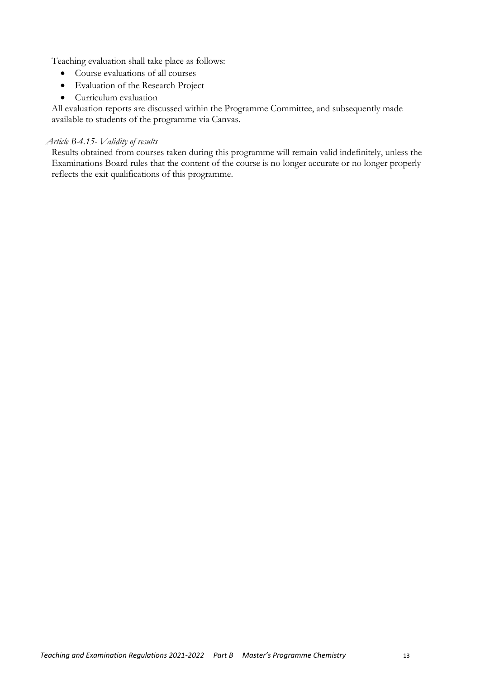Teaching evaluation shall take place as follows:

- Course evaluations of all courses
- Evaluation of the Research Project
- Curriculum evaluation

All evaluation reports are discussed within the Programme Committee, and subsequently made available to students of the programme via Canvas.

### *Article B-4.15- Validity of results*

Results obtained from courses taken during this programme will remain valid indefinitely, unless the Examinations Board rules that the content of the course is no longer accurate or no longer properly reflects the exit qualifications of this programme.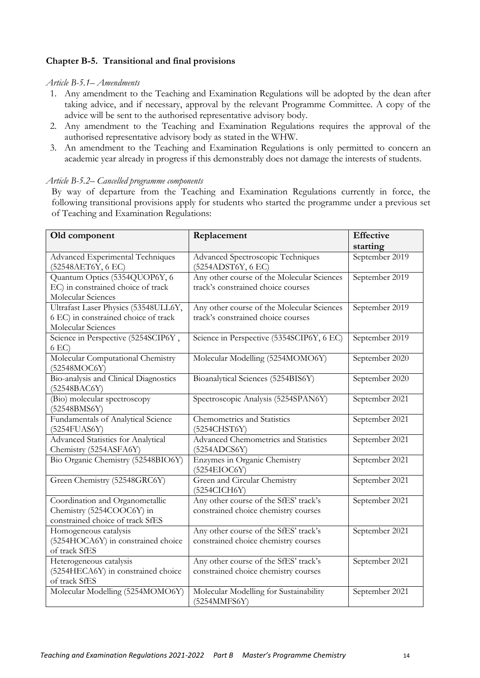# <span id="page-13-0"></span>**Chapter B-5. Transitional and final provisions**

#### <span id="page-13-1"></span>*Article B-5.1– Amendments*

- 1. Any amendment to the Teaching and Examination Regulations will be adopted by the dean after taking advice, and if necessary, approval by the relevant Programme Committee. A copy of the advice will be sent to the authorised representative advisory body.
- 2. Any amendment to the Teaching and Examination Regulations requires the approval of the authorised representative advisory body as stated in the WHW.
- 3. An amendment to the Teaching and Examination Regulations is only permitted to concern an academic year already in progress if this demonstrably does not damage the interests of students.

#### <span id="page-13-2"></span>*Article B-5.2– Cancelled programme components*

By way of departure from the Teaching and Examination Regulations currently in force, the following transitional provisions apply for students who started the programme under a previous set of Teaching and Examination Regulations:

| Old component                                                                                      | Replacement                                                                      | <b>Effective</b><br>starting |
|----------------------------------------------------------------------------------------------------|----------------------------------------------------------------------------------|------------------------------|
| Advanced Experimental Techniques<br>(52548AET6Y, 6 EC)                                             | Advanced Spectroscopic Techniques<br>(5254ADST6Y, 6 EC)                          | September 2019               |
| Quantum Optics (5354QUOP6Y, 6<br>EC) in constrained choice of track<br>Molecular Sciences          | Any other course of the Molecular Sciences<br>track's constrained choice courses | September 2019               |
| Ultrafast Laser Physics (53548ULL6Y,<br>6 EC) in constrained choice of track<br>Molecular Sciences | Any other course of the Molecular Sciences<br>track's constrained choice courses | September 2019               |
| Science in Perspective (5254SCIP6Y,<br>6 EC)                                                       | Science in Perspective (5354SCIP6Y, 6 EC)                                        | September 2019               |
| Molecular Computational Chemistry<br>(52548MOC6Y)                                                  | Molecular Modelling (5254MOMO6Y)                                                 | September 2020               |
| Bio-analysis and Clinical Diagnostics<br>(52548BAC6Y)                                              | Bioanalytical Sciences (5254BIS6Y)                                               | September 2020               |
| (Bio) molecular spectroscopy<br>(52548BMS6Y)                                                       | Spectroscopic Analysis (5254SPAN6Y)                                              | September 2021               |
| Fundamentals of Analytical Science<br>$(5254$ FUAS6Y)                                              | Chemometrics and Statistics<br>(5254CHST6Y)                                      | September 2021               |
| Advanced Statistics for Analytical<br>Chemistry (5254ASFA6Y)                                       | Advanced Chemometrics and Statistics<br>(5254ADCS6Y)                             | September 2021               |
| Bio Organic Chemistry (52548BIO6Y)                                                                 | Enzymes in Organic Chemistry<br>(5254EIOC6Y)                                     | September 2021               |
| Green Chemistry (52548GRC6Y)                                                                       | Green and Circular Chemistry<br>(5254CICH6Y)                                     | September 2021               |
| Coordination and Organometallic<br>Chemistry (5254COOC6Y) in<br>constrained choice of track SfES   | Any other course of the SfES' track's<br>constrained choice chemistry courses    | September 2021               |
| Homogeneous catalysis<br>(5254HOCA6Y) in constrained choice<br>of track SfES                       | Any other course of the SfES' track's<br>constrained choice chemistry courses    | September 2021               |
| Heterogeneous catalysis<br>(5254HECA6Y) in constrained choice<br>of track SfES                     | Any other course of the SfES' track's<br>constrained choice chemistry courses    | September 2021               |
| Molecular Modelling (5254MOMO6Y)                                                                   | Molecular Modelling for Sustainability<br>(5254MMFS6Y)                           | September 2021               |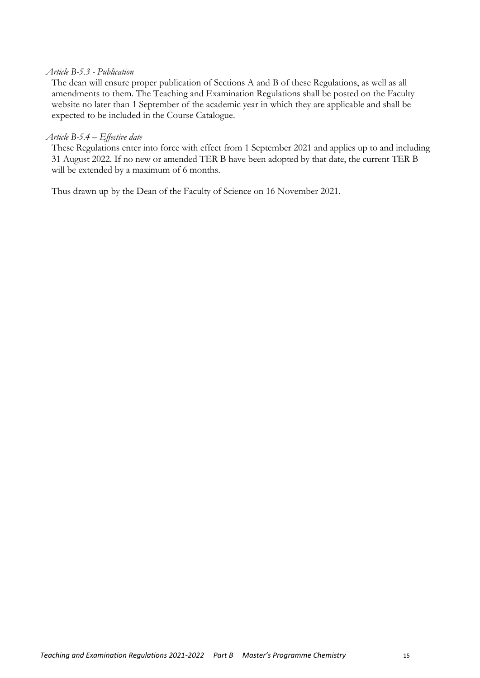### *Article B-5.3 - Publication*

<span id="page-14-0"></span>The dean will ensure proper publication of Sections A and B of these Regulations, as well as all amendments to them. The Teaching and Examination Regulations shall be posted on the Faculty website no later than 1 September of the academic year in which they are applicable and shall be expected to be included in the Course Catalogue.

#### *Article B-5.4 – Effective date*

<span id="page-14-1"></span>These Regulations enter into force with effect from 1 September 2021 and applies up to and including 31 August 2022. If no new or amended TER B have been adopted by that date, the current TER B will be extended by a maximum of 6 months.

Thus drawn up by the Dean of the Faculty of Science on 16 November 2021.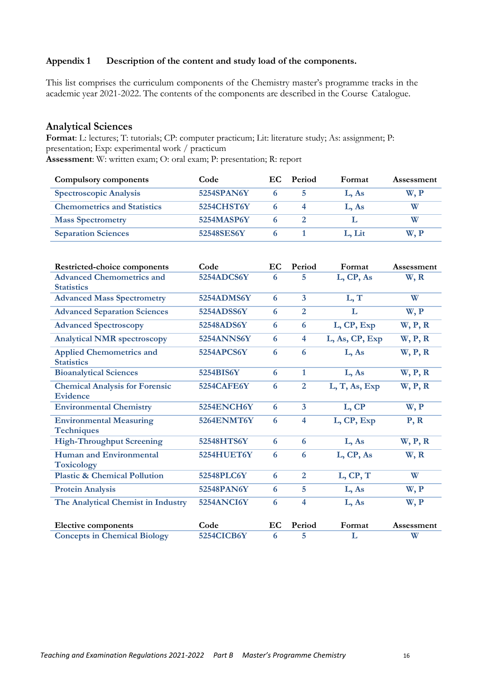# <span id="page-15-2"></span><span id="page-15-0"></span>**Appendix 1 Description of the content and study load of the components.**

This list comprises the curriculum components of the Chemistry master's programme tracks in the academic year 2021-2022. The contents of the components are described in the Course Catalogue.

### <span id="page-15-1"></span>**Analytical Sciences**

**Format**: L: lectures; T: tutorials; CP: computer practicum; Lit: literature study; As: assignment; P: presentation; Exp: experimental work / practicum **Assessment**: W: written exam; O: oral exam; P: presentation; R: report

| Compulsory components              | Code       | EC. | <b>Period</b> | Format | Assessment |
|------------------------------------|------------|-----|---------------|--------|------------|
| <b>Spectroscopic Analysis</b>      | 5254SPAN6Y |     |               | L. As  | W. P       |
| <b>Chemometrics and Statistics</b> | 5254CHST6Y |     |               | L. As  | W          |
| <b>Mass Spectrometry</b>           | 5254MASP6Y |     |               |        |            |
| <b>Separation Sciences</b>         | 52548SES6Y |     |               | L. Lit | W, P       |

| <b>Restricted-choice components</b>                      | Code              | EC | Period                  | Format         | Assessment |
|----------------------------------------------------------|-------------------|----|-------------------------|----------------|------------|
| <b>Advanced Chemometrics and</b><br><b>Statistics</b>    | 5254ADCS6Y        | 6  | 5                       | L, CP, As      | W, R       |
| <b>Advanced Mass Spectrometry</b>                        | 5254ADMS6Y        | 6  | $\overline{\mathbf{3}}$ | L, T           | W          |
| <b>Advanced Separation Sciences</b>                      | 5254ADSS6Y        | 6  | $\overline{2}$          | L              | W, P       |
| <b>Advanced Spectroscopy</b>                             | 52548ADS6Y        | 6  | 6                       | L, CP, Exp     | W, P, R    |
| <b>Analytical NMR spectroscopy</b>                       | <b>5254ANNS6Y</b> | 6  | 4                       | L, As, CP, Exp | W, P, R    |
| <b>Applied Chemometrics and</b><br><b>Statistics</b>     | 5254APCS6Y        | 6  | 6                       | L, As          | W, P, R    |
| <b>Bioanalytical Sciences</b>                            | 5254BIS6Y         | 6  | $\mathbf{1}$            | L, As          | W, P, R    |
| <b>Chemical Analysis for Forensic</b><br><b>Evidence</b> | 5254CAFE6Y        | 6  | $\overline{2}$          | L, T, As, Exp  | W, P, R    |
| <b>Environmental Chemistry</b>                           | 5254ENCH6Y        | 6  | $\overline{\mathbf{3}}$ | L, CP          | W, P       |
| <b>Environmental Measuring</b><br><b>Techniques</b>      | 5264ENMT6Y        | 6  | 4                       | L, CP, Exp     | P, R       |
| <b>High-Throughput Screening</b>                         | 52548HTS6Y        | 6  | 6                       | L, As          | W, P, R    |
| <b>Human and Environmental</b><br>Toxicology             | 5254HUET6Y        | 6  | 6                       | L, CP, As      | W, R       |
| <b>Plastic &amp; Chemical Pollution</b>                  | 52548PLC6Y        | 6  | $\overline{2}$          | L, CP, T       | W          |
| <b>Protein Analysis</b>                                  | 52548PAN6Y        | 6  | 5                       | L, As          | W, P       |
| The Analytical Chemist in Industry                       | 5254ANCI6Y        | 6  | 4                       | L, As          | W, P       |
| <b>Elective components</b>                               | Code              | EC | Period                  | Format         | Assessment |
| <b>Concepts in Chemical Biology</b>                      | 5254CICB6Y        | 6  | 5                       | L              | W          |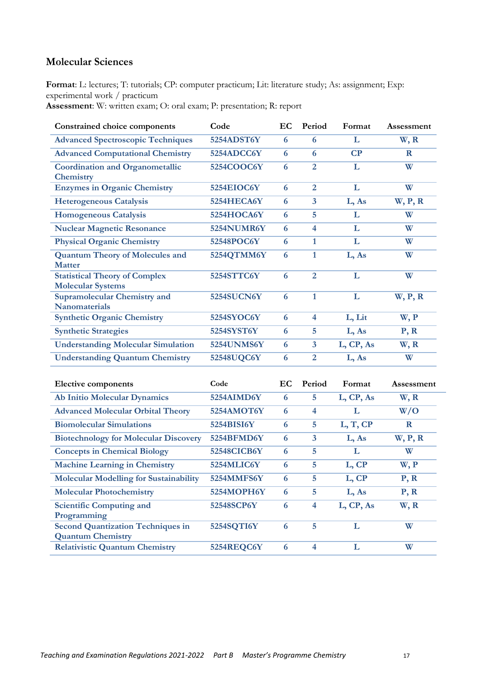# <span id="page-16-0"></span>**Molecular Sciences**

**Format**: L: lectures; T: tutorials; CP: computer practicum; Lit: literature study; As: assignment; Exp: experimental work / practicum

**Assessment**: W: written exam; O: oral exam; P: presentation; R: report

| <b>Constrained choice components</b>                             | Code              | EC | Period                  | Format    | Assessment |
|------------------------------------------------------------------|-------------------|----|-------------------------|-----------|------------|
| <b>Advanced Spectroscopic Techniques</b>                         | 5254ADST6Y        | 6  | 6                       | L         | W, R       |
| <b>Advanced Computational Chemistry</b>                          | 5254ADCC6Y        | 6  | 6                       | CP        | R          |
| <b>Coordination and Organometallic</b><br><b>Chemistry</b>       | 5254COOC6Y        | 6  | $\overline{2}$          | L         | W          |
| <b>Enzymes in Organic Chemistry</b>                              | 5254EIOC6Y        | 6  | $\overline{2}$          | L         | W          |
| <b>Heterogeneous Catalysis</b>                                   | 5254HECA6Y        | 6  | $\overline{3}$          | L, As     | W, P, R    |
| <b>Homogeneous Catalysis</b>                                     | 5254HOCA6Y        | 6  | 5                       | L         | W          |
| <b>Nuclear Magnetic Resonance</b>                                | 5254NUMR6Y        | 6  | $\overline{4}$          | L         | W          |
| <b>Physical Organic Chemistry</b>                                | 52548POC6Y        | 6  | $\mathbf{1}$            | L         | W          |
| <b>Quantum Theory of Molecules and</b><br><b>Matter</b>          | 5254QTMM6Y        | 6  | 1                       | L, As     | W          |
| <b>Statistical Theory of Complex</b><br><b>Molecular Systems</b> | 5254STTC6Y        | 6  | $\overline{2}$          | L         | W          |
| <b>Supramolecular Chemistry and</b><br><b>Nanomaterials</b>      | <b>5254SUCN6Y</b> | 6  | 1                       | L         | W, P, R    |
| <b>Synthetic Organic Chemistry</b>                               | 5254SYOC6Y        | 6  | $\overline{\mathbf{4}}$ | L, Lit    | W, P       |
| <b>Synthetic Strategies</b>                                      | 5254SYST6Y        | 6  | 5                       | L, As     | P, R       |
| <b>Understanding Molecular Simulation</b>                        | 5254UNMS6Y        | 6  | $\overline{\mathbf{3}}$ | L, CP, As | W, R       |
| <b>Understanding Quantum Chemistry</b>                           | 52548UQC6Y        | 6  | 2                       | L, As     | W          |

| <b>Elective components</b>                    | Code        | EC. | Period | Format    | Assessment |
|-----------------------------------------------|-------------|-----|--------|-----------|------------|
| <b>Ab Initio Molecular Dynamics</b>           | 5254AIMD6Y  | 6   | 5      | L, CP, As | W, R       |
| <b>Advanced Molecular Orbital Theory</b>      | 5254AMOT6Y  | 6   | 4      | L         | W/O        |
| <b>Biomolecular Simulations</b>               | 5254BISI6Y  | 6   | 5      | L, T, CP  | $\bf R$    |
| <b>Biotechnology for Molecular Discovery</b>  | 5254BFMD6Y  | 6   | 3      | L, As     | W, P, R    |
| <b>Concepts in Chemical Biology</b>           | 52548CICB6Y | 6   | 5      | L         | W          |
| <b>Machine Learning in Chemistry</b>          | 5254MLIC6Y  | 6   | 5      | L, CP     | W, P       |
| <b>Molecular Modelling for Sustainability</b> | 5254MMFS6Y  | 6   | 5      | L, CP     | P, R       |
| <b>Molecular Photochemistry</b>               | 5254MOPH6Y  | 6   | 5      | L, As     | P, R       |
| <b>Scientific Computing and</b>               | 52548SCP6Y  | 6   | 4      | L, CP, As | W, R       |
| Programming                                   |             |     |        |           |            |
| <b>Second Quantization Techniques in</b>      | 5254SQTI6Y  | 6   | 5      | L         | W          |
| <b>Quantum Chemistry</b>                      |             |     |        |           |            |
| <b>Relativistic Quantum Chemistry</b>         | 5254REQC6Y  | 6   | 4      | L         | W          |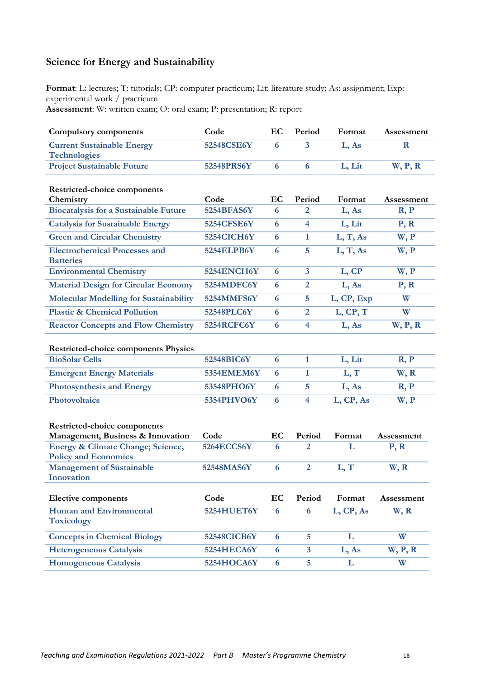# <span id="page-17-0"></span>**Science for Energy and Sustainability**

**Format**: L: lectures; T: tutorials; CP: computer practicum; Lit: literature study; As: assignment; Exp: experimental work / practicum **Assessment**: W: written exam; O: oral exam; P: presentation; R: report

| <b>Compulsory components</b>                                                      | Code              | EC               | Period                  | Format      | Assessment         |
|-----------------------------------------------------------------------------------|-------------------|------------------|-------------------------|-------------|--------------------|
| <b>Current Sustainable Energy</b><br><b>Technologies</b>                          | 52548CSE6Y        | 6                | 3                       | L, As       | $\mathbf R$        |
| <b>Project Sustainable Future</b>                                                 | 52548PRS6Y        | 6                | 6                       | L, Lit      | W, P, R            |
| Restricted-choice components<br>Chemistry                                         | Code              | EC               | Period                  | Format      | Assessment         |
| <b>Biocatalysis for a Sustainable Future</b>                                      | 5254BFAS6Y        | 6                | 2                       | L, As       | R, P               |
| <b>Catalysis for Sustainable Energy</b>                                           | 5254CFSE6Y        | 6                | $\overline{\mathbf{4}}$ | L, Lit      | P, R               |
| <b>Green and Circular Chemistry</b>                                               | 5254CICH6Y        | 6                | $\mathbf{1}$            | L, T, As    | W, P               |
| <b>Electrochemical Processes and</b><br><b>Batteries</b>                          | <b>5254ELPB6Y</b> | 6                | 5                       | L, T, As    | W, P               |
| <b>Environmental Chemistry</b>                                                    | 5254ENCH6Y        | 6                | $\overline{\mathbf{3}}$ | L, CP       | W, P               |
| <b>Material Design for Circular Economy</b>                                       | 5254MDFC6Y        | 6                | $\overline{2}$          | L, As       | P, R               |
| <b>Molecular Modelling for Sustainability</b>                                     | 5254MMFS6Y        | 6                | 5                       | L, CP, Exp  | W                  |
| <b>Plastic &amp; Chemical Pollution</b>                                           | 52548PLC6Y        | 6                | $\overline{2}$          | L, CP, T    | W                  |
| <b>Reactor Concepts and Flow Chemistry</b>                                        | 5254RCFC6Y        | 6                | $\overline{\mathbf{4}}$ | L, As       | W, P, R            |
| <b>Restricted-choice components Physics</b>                                       |                   |                  |                         |             |                    |
| <b>BioSolar Cells</b>                                                             | 52548BIC6Y        | 6                | $\mathbf{1}$            | L, Lit      | R, P               |
| <b>Emergent Energy Materials</b>                                                  | <b>5354EMEM6Y</b> | 6                | $\mathbf{1}$            | L, T        | W, R               |
| <b>Photosynthesis and Energy</b>                                                  | 53548PHO6Y        | 6                | 5                       | L, As       | R, P               |
| <b>Photovoltaics</b>                                                              | 5354PHVO6Y        | 6                | $\overline{\mathbf{4}}$ | L, CP, As   | W, P               |
| Restricted-choice components                                                      | Code              |                  |                         |             |                    |
| Management, Business & Innovation<br><b>Energy &amp; Climate Change; Science,</b> | <b>5264ECCS6Y</b> | EC<br>6          | Period<br>2             | Format<br>L | Assessment<br>P, R |
| <b>Policy and Economics</b>                                                       |                   |                  |                         |             |                    |
| <b>Management of Sustainable</b><br>Innovation                                    | 52548MAS6Y        | 6                | $\overline{2}$          | L, T        | W, R               |
| <b>Elective components</b>                                                        | Code              | EC               | Period                  | Format      | Assessment         |
| <b>Human and Environmental</b><br><b>Toxicology</b>                               | 5254HUET6Y        | 6                | 6                       | L, CP, As   | W, R               |
| <b>Concepts in Chemical Biology</b>                                               | 52548CICB6Y       | 6                | 5                       | L           | W                  |
| <b>Heterogeneous Catalysis</b>                                                    | 5254HECA6Y        | 6                | $\mathbf{3}$            | L, As       | W, P, R            |
| <b>Homogeneous Catalysis</b>                                                      | 5254HOCA6Y        | $\boldsymbol{6}$ | 5                       | L           | W                  |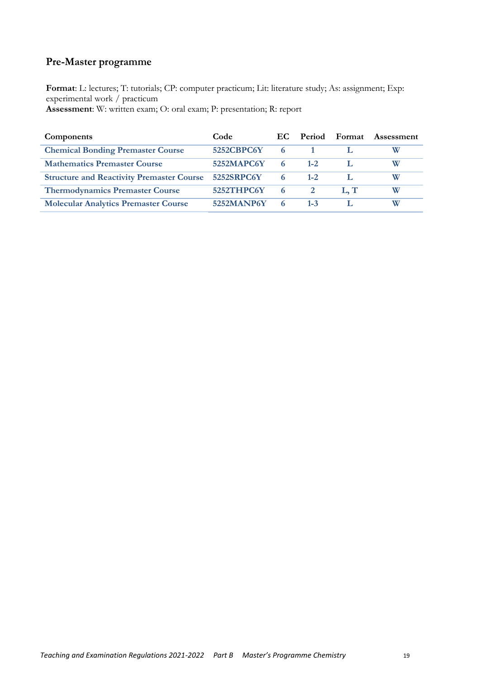# <span id="page-18-0"></span>**Pre-Master programme**

**Format**: L: lectures; T: tutorials; CP: computer practicum; Lit: literature study; As: assignment; Exp: experimental work / practicum **Assessment**: W: written exam; O: oral exam; P: presentation; R: report

| <b>Components</b>                                | Code       | EC.  | <b>Period</b> | Format | Assessment |
|--------------------------------------------------|------------|------|---------------|--------|------------|
| <b>Chemical Bonding Premaster Course</b>         | 5252CBPC6Y | 6    |               |        |            |
| <b>Mathematics Premaster Course</b>              | 5252MAPC6Y | 6    | $1 - 2.$      |        | W          |
| <b>Structure and Reactivity Premaster Course</b> | 5252SRPC6Y | 6    | $1 - 2$       |        | W          |
| <b>Thermodynamics Premaster Course</b>           | 5252THPC6Y | $-6$ |               | L.T    | W          |
| <b>Molecular Analytics Premaster Course</b>      | 5252MANP6Y | 6    | $1 - 3$       |        | W          |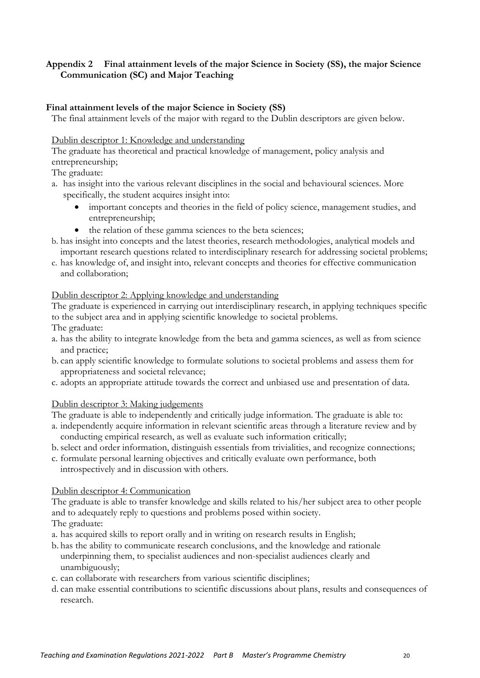# <span id="page-19-0"></span>**Appendix 2 Final attainment levels of the major Science in Society (SS), the major Science Communication (SC) and Major Teaching**

# **Final attainment levels of the major Science in Society (SS)**

The final attainment levels of the major with regard to the Dublin descriptors are given below.

# Dublin descriptor 1: Knowledge and understanding

The graduate has theoretical and practical knowledge of management, policy analysis and entrepreneurship;

# The graduate:

- a. has insight into the various relevant disciplines in the social and behavioural sciences. More specifically, the student acquires insight into:
	- important concepts and theories in the field of policy science, management studies, and entrepreneurship;
	- the relation of these gamma sciences to the beta sciences;
- b. has insight into concepts and the latest theories, research methodologies, analytical models and important research questions related to interdisciplinary research for addressing societal problems;
- c. has knowledge of, and insight into, relevant concepts and theories for effective communication and collaboration;

# Dublin descriptor 2: Applying knowledge and understanding

The graduate is experienced in carrying out interdisciplinary research, in applying techniques specific to the subject area and in applying scientific knowledge to societal problems. The graduate:

- a. has the ability to integrate knowledge from the beta and gamma sciences, as well as from science and practice;
- b. can apply scientific knowledge to formulate solutions to societal problems and assess them for appropriateness and societal relevance;
- c. adopts an appropriate attitude towards the correct and unbiased use and presentation of data.

# Dublin descriptor 3: Making judgements

The graduate is able to independently and critically judge information. The graduate is able to:

- a. independently acquire information in relevant scientific areas through a literature review and by conducting empirical research, as well as evaluate such information critically;
- b.select and order information, distinguish essentials from trivialities, and recognize connections;
- c. formulate personal learning objectives and critically evaluate own performance, both introspectively and in discussion with others.

# Dublin descriptor 4: Communication

The graduate is able to transfer knowledge and skills related to his/her subject area to other people and to adequately reply to questions and problems posed within society.

The graduate:

- a. has acquired skills to report orally and in writing on research results in English;
- b. has the ability to communicate research conclusions, and the knowledge and rationale underpinning them, to specialist audiences and non-specialist audiences clearly and unambiguously;
- c. can collaborate with researchers from various scientific disciplines;
- d. can make essential contributions to scientific discussions about plans, results and consequences of research.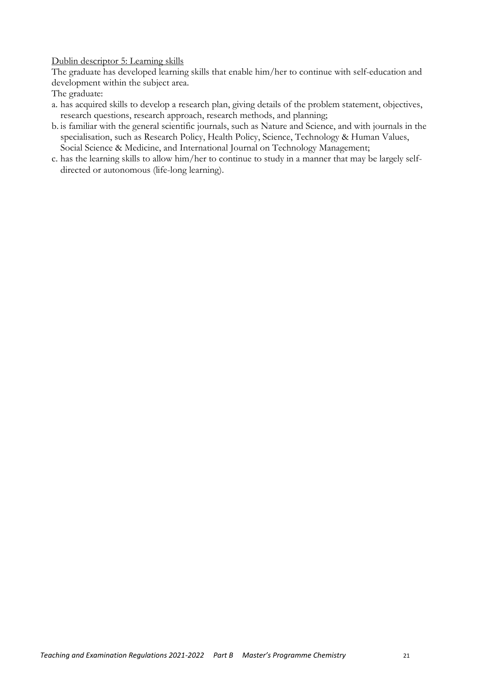Dublin descriptor 5: Learning skills

The graduate has developed learning skills that enable him/her to continue with self-education and development within the subject area.

The graduate:

- a. has acquired skills to develop a research plan, giving details of the problem statement, objectives, research questions, research approach, research methods, and planning;
- b. is familiar with the general scientific journals, such as Nature and Science, and with journals in the specialisation, such as Research Policy, Health Policy, Science, Technology & Human Values, Social Science & Medicine, and International Journal on Technology Management;
- c. has the learning skills to allow him/her to continue to study in a manner that may be largely selfdirected or autonomous (life-long learning).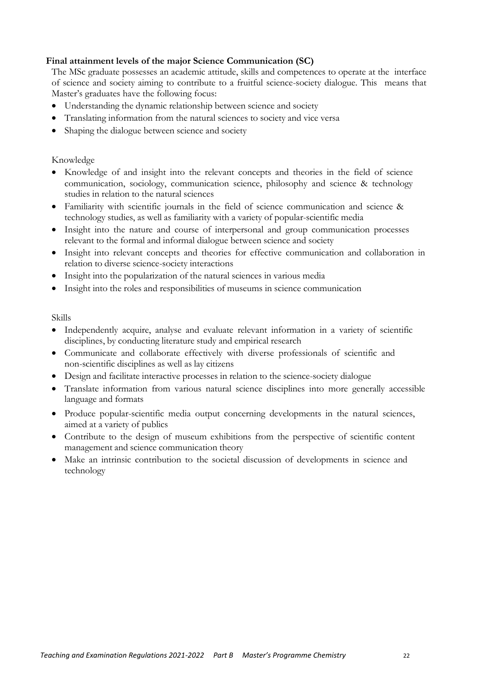# <span id="page-21-0"></span>**Final attainment levels of the major Science Communication (SC)**

The MSc graduate possesses an academic attitude, skills and competences to operate at the interface of science and society aiming to contribute to a fruitful science-society dialogue. This means that Master's graduates have the following focus:

- Understanding the dynamic relationship between science and society
- Translating information from the natural sciences to society and vice versa
- Shaping the dialogue between science and society

### Knowledge

- Knowledge of and insight into the relevant concepts and theories in the field of science communication, sociology, communication science, philosophy and science & technology studies in relation to the natural sciences
- Familiarity with scientific journals in the field of science communication and science & technology studies, as well as familiarity with a variety of popular-scientific media
- Insight into the nature and course of interpersonal and group communication processes relevant to the formal and informal dialogue between science and society
- Insight into relevant concepts and theories for effective communication and collaboration in relation to diverse science-society interactions
- Insight into the popularization of the natural sciences in various media
- Insight into the roles and responsibilities of museums in science communication

### Skills

- Independently acquire, analyse and evaluate relevant information in a variety of scientific disciplines, by conducting literature study and empirical research
- Communicate and collaborate effectively with diverse professionals of scientific and non-scientific disciplines as well as lay citizens
- Design and facilitate interactive processes in relation to the science-society dialogue
- Translate information from various natural science disciplines into more generally accessible language and formats
- Produce popular-scientific media output concerning developments in the natural sciences, aimed at a variety of publics
- Contribute to the design of museum exhibitions from the perspective of scientific content management and science communication theory
- Make an intrinsic contribution to the societal discussion of developments in science and technology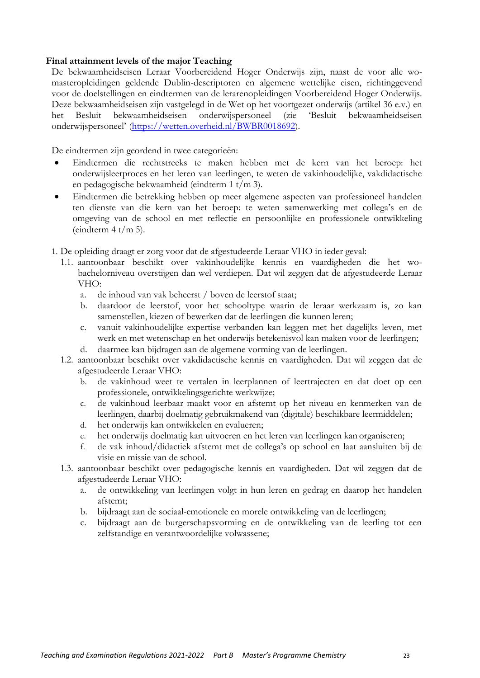### <span id="page-22-0"></span>**Final attainment levels of the major Teaching**

De bekwaamheidseisen Leraar Voorbereidend Hoger Onderwijs zijn, naast de voor alle womasteropleidingen geldende Dublin-descriptoren en algemene wettelijke eisen, richtinggevend voor de doelstellingen en eindtermen van de lerarenopleidingen Voorbereidend Hoger Onderwijs. Deze bekwaamheidseisen zijn vastgelegd in de Wet op het voortgezet onderwijs (artikel 36 e.v.) en het Besluit bekwaamheidseisen onderwijspersoneel (zie 'Besluit bekwaamheidseisen onderwijspersoneel' [\(https://wetten.overheid.nl/BWBR0018692\)](https://wetten.overheid.nl/BWBR0018692).

De eindtermen zijn geordend in twee categorieën:

- Eindtermen die rechtstreeks te maken hebben met de kern van het beroep: het onderwijsleerproces en het leren van leerlingen, te weten de vakinhoudelijke, vakdidactische en pedagogische bekwaamheid (eindterm 1 t/m 3).
- Eindtermen die betrekking hebben op meer algemene aspecten van professioneel handelen ten dienste van die kern van het beroep: te weten samenwerking met collega's en de omgeving van de school en met reflectie en persoonlijke en professionele ontwikkeling (eindterm  $4 t/m 5$ ).
- 1. De opleiding draagt er zorg voor dat de afgestudeerde Leraar VHO in ieder geval:
	- 1.1. aantoonbaar beschikt over vakinhoudelijke kennis en vaardigheden die het wobachelorniveau overstijgen dan wel verdiepen. Dat wil zeggen dat de afgestudeerde Leraar VHO:
		- a. de inhoud van vak beheerst / boven de leerstof staat;
		- b. daardoor de leerstof, voor het schooltype waarin de leraar werkzaam is, zo kan samenstellen, kiezen of bewerken dat de leerlingen die kunnen leren;
		- c. vanuit vakinhoudelijke expertise verbanden kan leggen met het dagelijks leven, met werk en met wetenschap en het onderwijs betekenisvol kan maken voor de leerlingen;
		- d. daarmee kan bijdragen aan de algemene vorming van de leerlingen.
	- 1.2. aantoonbaar beschikt over vakdidactische kennis en vaardigheden. Dat wil zeggen dat de afgestudeerde Leraar VHO:
		- b. de vakinhoud weet te vertalen in leerplannen of leertrajecten en dat doet op een professionele, ontwikkelingsgerichte werkwijze;
		- c. de vakinhoud leerbaar maakt voor en afstemt op het niveau en kenmerken van de leerlingen, daarbij doelmatig gebruikmakend van (digitale) beschikbare leermiddelen;
		- d. het onderwijs kan ontwikkelen en evalueren;
		- e. het onderwijs doelmatig kan uitvoeren en het leren van leerlingen kan organiseren;
		- f. de vak inhoud/didactiek afstemt met de collega's op school en laat aansluiten bij de visie en missie van de school.
	- 1.3. aantoonbaar beschikt over pedagogische kennis en vaardigheden. Dat wil zeggen dat de afgestudeerde Leraar VHO:
		- a. de ontwikkeling van leerlingen volgt in hun leren en gedrag en daarop het handelen afstemt;
		- b. bijdraagt aan de sociaal-emotionele en morele ontwikkeling van de leerlingen;
		- c. bijdraagt aan de burgerschapsvorming en de ontwikkeling van de leerling tot een zelfstandige en verantwoordelijke volwassene;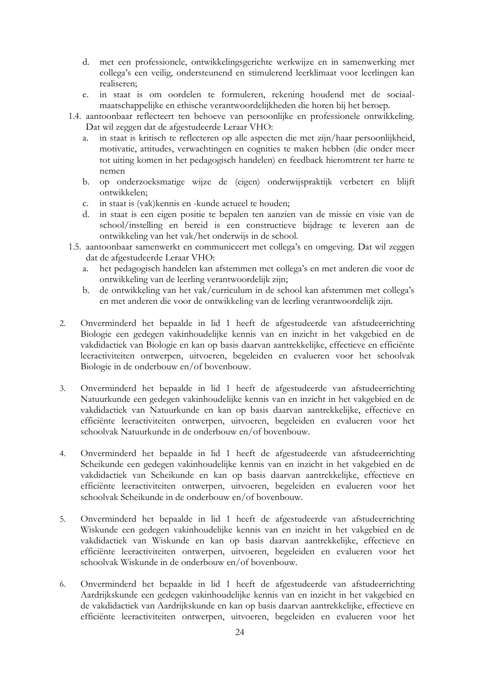- d. met een professionele, ontwikkelingsgerichte werkwijze en in samenwerking met collega's een veilig, ondersteunend en stimulerend leerklimaat voor leerlingen kan realiseren;
- e. in staat is om oordelen te formuleren, rekening houdend met de sociaalmaatschappelijke en ethische verantwoordelijkheden die horen bij het beroep.
- 1.4. aantoonbaar reflecteert ten behoeve van persoonlijke en professionele ontwikkeling. Dat wil zeggen dat de afgestudeerde Leraar VHO:
	- a. in staat is kritisch te reflecteren op alle aspecten die met zijn/haar persoonlijkheid, motivatie, attitudes, verwachtingen en cognities te maken hebben (die onder meer tot uiting komen in het pedagogisch handelen) en feedback hieromtrent ter harte te nemen
	- b. op onderzoeksmatige wijze de (eigen) onderwijspraktijk verbetert en blijft ontwikkelen;
	- c. in staat is (vak)kennis en -kunde actueel te houden;
	- d. in staat is een eigen positie te bepalen ten aanzien van de missie en visie van de school/instelling en bereid is een constructieve bijdrage te leveren aan de ontwikkeling van het vak/het onderwijs in de school.
- 1.5. aantoonbaar samenwerkt en communiceert met collega's en omgeving. Dat wil zeggen dat de afgestudeerde Leraar VHO:
	- a. het pedagogisch handelen kan afstemmen met collega's en met anderen die voor de ontwikkeling van de leerling verantwoordelijk zijn;
	- b. de ontwikkeling van het vak/curriculum in de school kan afstemmen met collega's en met anderen die voor de ontwikkeling van de leerling verantwoordelijk zijn.
- 2. Onverminderd het bepaalde in lid 1 heeft de afgestudeerde van afstudeerrichting Biologie een gedegen vakinhoudelijke kennis van en inzicht in het vakgebied en de vakdidactiek van Biologie en kan op basis daarvan aantrekkelijke, effectieve en efficiënte leeractiviteiten ontwerpen, uitvoeren, begeleiden en evalueren voor het schoolvak Biologie in de onderbouw en/of bovenbouw.
- 3. Onverminderd het bepaalde in lid 1 heeft de afgestudeerde van afstudeerrichting Natuurkunde een gedegen vakinhoudelijke kennis van en inzicht in het vakgebied en de vakdidactiek van Natuurkunde en kan op basis daarvan aantrekkelijke, effectieve en efficiënte leeractiviteiten ontwerpen, uitvoeren, begeleiden en evalueren voor het schoolvak Natuurkunde in de onderbouw en/of bovenbouw.
- 4. Onverminderd het bepaalde in lid 1 heeft de afgestudeerde van afstudeerrichting Scheikunde een gedegen vakinhoudelijke kennis van en inzicht in het vakgebied en de vakdidactiek van Scheikunde en kan op basis daarvan aantrekkelijke, effectieve en efficiënte leeractiviteiten ontwerpen, uitvoeren, begeleiden en evalueren voor het schoolvak Scheikunde in de onderbouw en/of bovenbouw.
- 5. Onverminderd het bepaalde in lid 1 heeft de afgestudeerde van afstudeerrichting Wiskunde een gedegen vakinhoudelijke kennis van en inzicht in het vakgebied en de vakdidactiek van Wiskunde en kan op basis daarvan aantrekkelijke, effectieve en efficiënte leeractiviteiten ontwerpen, uitvoeren, begeleiden en evalueren voor het schoolvak Wiskunde in de onderbouw en/of bovenbouw.
- 6. Onverminderd het bepaalde in lid 1 heeft de afgestudeerde van afstudeerrichting Aardrijkskunde een gedegen vakinhoudelijke kennis van en inzicht in het vakgebied en de vakdidactiek van Aardrijkskunde en kan op basis daarvan aantrekkelijke, effectieve en efficiënte leeractiviteiten ontwerpen, uitvoeren, begeleiden en evalueren voor het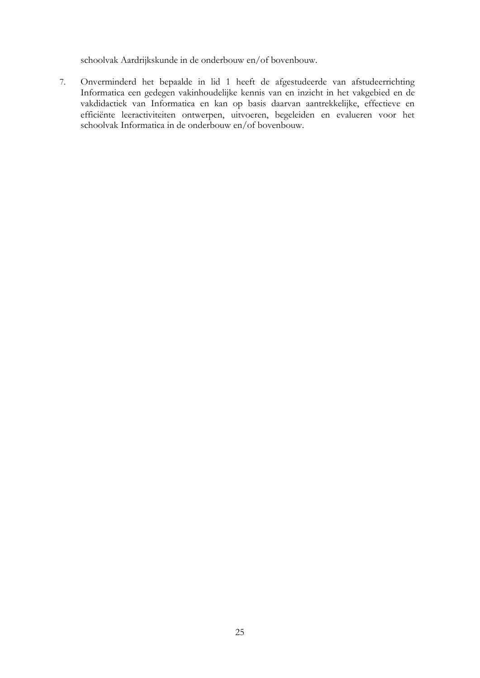schoolvak Aardrijkskunde in de onderbouw en/of bovenbouw.

7. Onverminderd het bepaalde in lid 1 heeft de afgestudeerde van afstudeerrichting Informatica een gedegen vakinhoudelijke kennis van en inzicht in het vakgebied en de vakdidactiek van Informatica en kan op basis daarvan aantrekkelijke, effectieve en efficiënte leeractiviteiten ontwerpen, uitvoeren, begeleiden en evalueren voor het schoolvak Informatica in de onderbouw en/of bovenbouw.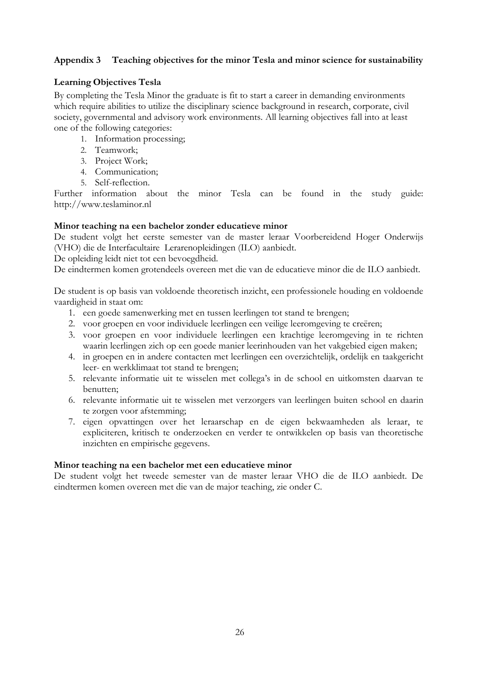# <span id="page-25-0"></span>**Appendix 3 Teaching objectives for the minor Tesla and minor science for sustainability**

# <span id="page-25-1"></span>**Learning Objectives Tesla**

By completing the Tesla Minor the graduate is fit to start a career in demanding environments which require abilities to utilize the disciplinary science background in research, corporate, civil society, governmental and advisory work environments. All learning objectives fall into at least one of the following categories:

- 1. Information processing;
- 2. Teamwork;
- 3. Project Work;
- 4. Communication;
- 5. Self-reflection.

Further information about the minor Tesla can be found in the study guide[:](http://www.teslaminor.nl/) [http://www.teslaminor.nl](http://www.teslaminor.nl/) 

# <span id="page-25-2"></span>**Minor teaching na een bachelor zonder educatieve minor**

De student volgt het eerste semester van de master leraar Voorbereidend Hoger Onderwijs (VHO) die de Interfacultaire Lerarenopleidingen (ILO) aanbiedt.

De opleiding leidt niet tot een bevoegdheid.

De eindtermen komen grotendeels overeen met die van de educatieve minor die de ILO aanbiedt.

De student is op basis van voldoende theoretisch inzicht, een professionele houding en voldoende vaardigheid in staat om:

- 1. een goede samenwerking met en tussen leerlingen tot stand te brengen;
- 2. voor groepen en voor individuele leerlingen een veilige leeromgeving te creëren;
- 3. voor groepen en voor individuele leerlingen een krachtige leeromgeving in te richten waarin leerlingen zich op een goede manier leerinhouden van het vakgebied eigen maken;
- 4. in groepen en in andere contacten met leerlingen een overzichtelijk, ordelijk en taakgericht leer- en werkklimaat tot stand te brengen;
- 5. relevante informatie uit te wisselen met collega's in de school en uitkomsten daarvan te benutten;
- 6. relevante informatie uit te wisselen met verzorgers van leerlingen buiten school en daarin te zorgen voor afstemming;
- 7. eigen opvattingen over het leraarschap en de eigen bekwaamheden als leraar, te expliciteren, kritisch te onderzoeken en verder te ontwikkelen op basis van theoretische inzichten en empirische gegevens.

# <span id="page-25-3"></span>**Minor teaching na een bachelor met een educatieve minor**

De student volgt het tweede semester van de master leraar VHO die de ILO aanbiedt. De eindtermen komen overeen met die van de major teaching, zie onder C.